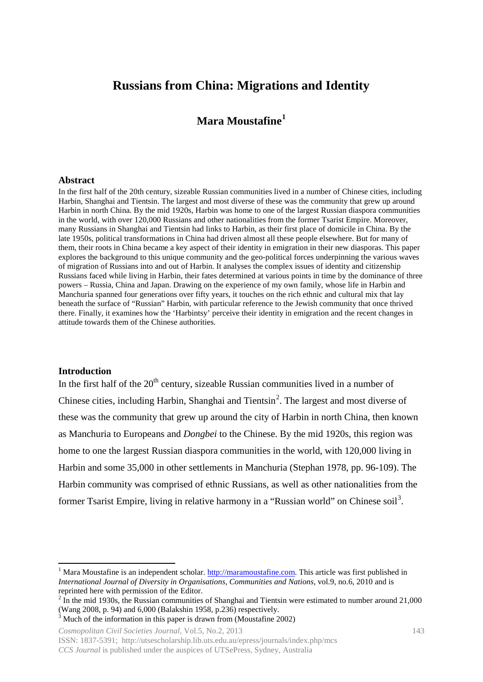# **Russians from China: Migrations and Identity**

## **Mara Moustafine[1](#page-0-0)**

#### **Abstract**

In the first half of the 20th century, sizeable Russian communities lived in a number of Chinese cities, including Harbin, Shanghai and Tientsin. The largest and most diverse of these was the community that grew up around Harbin in north China. By the mid 1920s, Harbin was home to one of the largest Russian diaspora communities in the world, with over 120,000 Russians and other nationalities from the former Tsarist Empire. Moreover, many Russians in Shanghai and Tientsin had links to Harbin, as their first place of domicile in China. By the late 1950s, political transformations in China had driven almost all these people elsewhere. But for many of them, their roots in China became a key aspect of their identity in emigration in their new diasporas. This paper explores the background to this unique community and the geo-political forces underpinning the various waves of migration of Russians into and out of Harbin. It analyses the complex issues of identity and citizenship Russians faced while living in Harbin, their fates determined at various points in time by the dominance of three powers – Russia, China and Japan. Drawing on the experience of my own family, whose life in Harbin and Manchuria spanned four generations over fifty years, it touches on the rich ethnic and cultural mix that lay beneath the surface of "Russian" Harbin, with particular reference to the Jewish community that once thrived there. Finally, it examines how the 'Harbintsy' perceive their identity in emigration and the recent changes in attitude towards them of the Chinese authorities.

#### **Introduction**

 $\overline{\phantom{a}}$ 

In the first half of the  $20<sup>th</sup>$  century, sizeable Russian communities lived in a number of Chinese cities, including Harbin, Shanghai and Tientsin<sup>[2](#page-0-1)</sup>. The largest and most diverse of these was the community that grew up around the city of Harbin in north China, then known as Manchuria to Europeans and *Dongbei* to the Chinese. By the mid 1920s, this region was home to one the largest Russian diaspora communities in the world, with 120,000 living in Harbin and some 35,000 in other settlements in Manchuria (Stephan 1978, pp. 96-109). The Harbin community was comprised of ethnic Russians, as well as other nationalities from the former Tsarist Empire, living in relative harmony in a "Russian world" on Chinese soil<sup>[3](#page-0-2)</sup>.

*Cosmopolitan Civil Societies Journal,* Vol.5, No.2, 2013 143 ISSN: 1837-5391; http://utsescholarship.lib.uts.edu.au/epress/journals/index.php/mcs *CCS Journal* is published under the auspices of UTSePress, Sydney, Australia

<span id="page-0-0"></span>Mara Moustafine is an independent scholar. [http://maramoustafine.com.](http://maramoustafine.com/) This article was first published in *International Journal of Diversity in Organisations, Communities and Nations*, vol.9, no.6, 2010 and is reprinted here with permission of the Editor.

<span id="page-0-1"></span><sup>&</sup>lt;sup>2</sup> In the mid 1930s, the Russian communities of Shanghai and Tientsin were estimated to number around 21,000 (Wang 2008, p. 94) and 6,000 (Balakshin 1958, p.236) respectively.<br> $3$  Much of the information in this paper is drawn from (Moustafine 2002)

<span id="page-0-2"></span>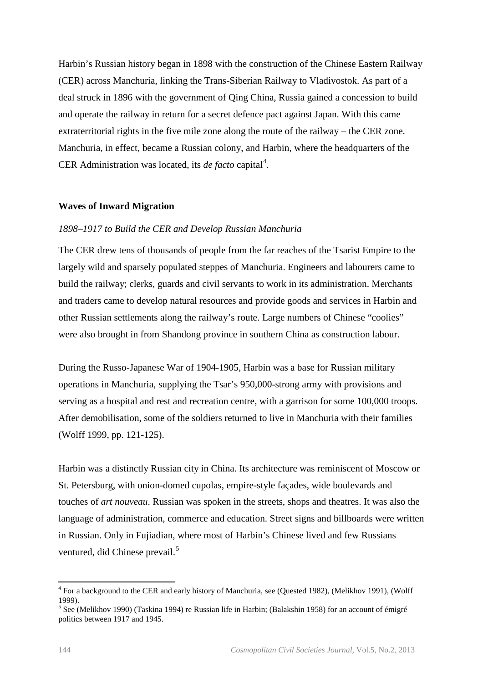Harbin's Russian history began in 1898 with the construction of the Chinese Eastern Railway (CER) across Manchuria, linking the Trans-Siberian Railway to Vladivostok. As part of a deal struck in 1896 with the government of Qing China, Russia gained a concession to build and operate the railway in return for a secret defence pact against Japan. With this came extraterritorial rights in the five mile zone along the route of the railway – the CER zone. Manchuria, in effect, became a Russian colony, and Harbin, where the headquarters of the CER Administration was located, its *de facto* capital<sup>[4](#page-1-0)</sup>.

#### **Waves of Inward Migration**

#### *1898–1917 to Build the CER and Develop Russian Manchuria*

The CER drew tens of thousands of people from the far reaches of the Tsarist Empire to the largely wild and sparsely populated steppes of Manchuria. Engineers and labourers came to build the railway; clerks, guards and civil servants to work in its administration. Merchants and traders came to develop natural resources and provide goods and services in Harbin and other Russian settlements along the railway's route. Large numbers of Chinese "coolies" were also brought in from Shandong province in southern China as construction labour.

During the Russo-Japanese War of 1904-1905, Harbin was a base for Russian military operations in Manchuria, supplying the Tsar's 950,000-strong army with provisions and serving as a hospital and rest and recreation centre, with a garrison for some 100,000 troops. After demobilisation, some of the soldiers returned to live in Manchuria with their families (Wolff 1999, pp. 121-125).

Harbin was a distinctly Russian city in China. Its architecture was reminiscent of Moscow or St. Petersburg, with onion-domed cupolas, empire-style façades, wide boulevards and touches of *art nouveau*. Russian was spoken in the streets, shops and theatres. It was also the language of administration, commerce and education. Street signs and billboards were written in Russian. Only in Fujiadian, where most of Harbin's Chinese lived and few Russians ventured, did Chinese prevail.<sup>[5](#page-1-1)</sup>

<span id="page-1-0"></span><sup>4</sup> For a background to the CER and early history of Manchuria, see (Quested 1982), (Melikhov 1991), (Wolff 1999).<br><sup>5</sup> See (Melikhov 1990) (Taskina 1994) re Russian life in Harbin; (Balakshin 1958) for an account of émigré

<span id="page-1-1"></span>politics between 1917 and 1945.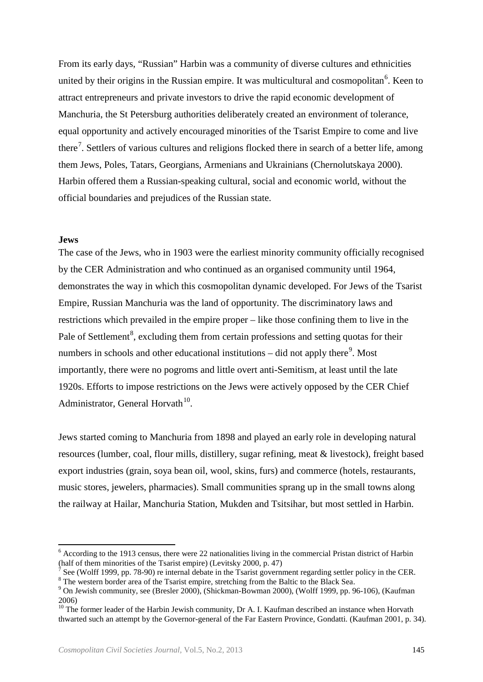From its early days, "Russian" Harbin was a community of diverse cultures and ethnicities united by their origins in the Russian empire. It was multicultural and cosmopolitan<sup>[6](#page-2-0)</sup>. Keen to attract entrepreneurs and private investors to drive the rapid economic development of Manchuria, the St Petersburg authorities deliberately created an environment of tolerance, equal opportunity and actively encouraged minorities of the Tsarist Empire to come and live there<sup>[7](#page-2-1)</sup>. Settlers of various cultures and religions flocked there in search of a better life, among them Jews, Poles, Tatars, Georgians, Armenians and Ukrainians (Chernolutskaya 2000). Harbin offered them a Russian-speaking cultural, social and economic world, without the official boundaries and prejudices of the Russian state.

#### **Jews**

l

The case of the Jews, who in 1903 were the earliest minority community officially recognised by the CER Administration and who continued as an organised community until 1964, demonstrates the way in which this cosmopolitan dynamic developed. For Jews of the Tsarist Empire, Russian Manchuria was the land of opportunity. The discriminatory laws and restrictions which prevailed in the empire proper – like those confining them to live in the Pale of Settlement<sup>[8](#page-2-2)</sup>, excluding them from certain professions and setting quotas for their numbers in schools and other educational institutions  $-$  did not apply there<sup>[9](#page-2-3)</sup>. Most importantly, there were no pogroms and little overt anti-Semitism, at least until the late 1920s. Efforts to impose restrictions on the Jews were actively opposed by the CER Chief Administrator, General Horvath $10$ .

Jews started coming to Manchuria from 1898 and played an early role in developing natural resources (lumber, coal, flour mills, distillery, sugar refining, meat & livestock), freight based export industries (grain, soya bean oil, wool, skins, furs) and commerce (hotels, restaurants, music stores, jewelers, pharmacies). Small communities sprang up in the small towns along the railway at Hailar, Manchuria Station, Mukden and Tsitsihar, but most settled in Harbin.

<span id="page-2-0"></span><sup>&</sup>lt;sup>6</sup> According to the 1913 census, there were 22 nationalities living in the commercial Pristan district of Harbin (half of them minorities of the Tsarist empire) (Levitsky 2000, p. 47)

<span id="page-2-1"></span><sup>&</sup>lt;sup>7</sup> See (Wolff 1999, pp. 78-90) re internal debate in the Tsarist government regarding settler policy in the CER.<br><sup>8</sup> The western border area of the Tsarist empire, stretching from the Baltic to the Black Sea.<br><sup>9</sup> On Jewi

<span id="page-2-2"></span>

<span id="page-2-3"></span><sup>2006)</sup>

<span id="page-2-4"></span> $10$  The former leader of the Harbin Jewish community, Dr A. I. Kaufman described an instance when Horvath thwarted such an attempt by the Governor-general of the Far Eastern Province, Gondatti. (Kaufman 2001, p. 34).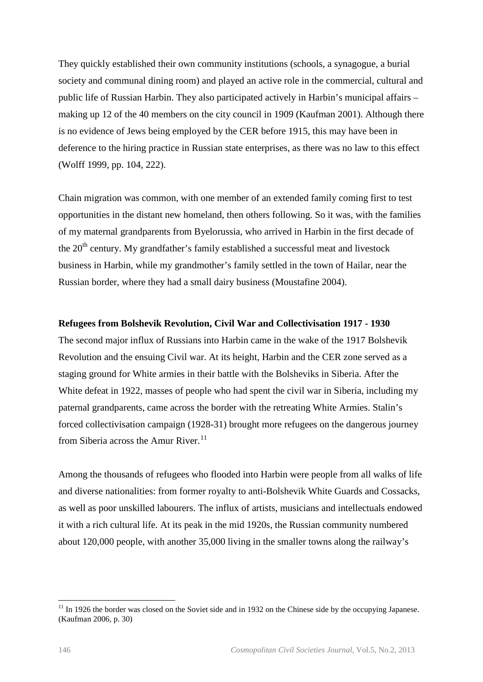They quickly established their own community institutions (schools, a synagogue, a burial society and communal dining room) and played an active role in the commercial, cultural and public life of Russian Harbin. They also participated actively in Harbin's municipal affairs – making up 12 of the 40 members on the city council in 1909 (Kaufman 2001). Although there is no evidence of Jews being employed by the CER before 1915, this may have been in deference to the hiring practice in Russian state enterprises, as there was no law to this effect (Wolff 1999, pp. 104, 222).

Chain migration was common, with one member of an extended family coming first to test opportunities in the distant new homeland, then others following. So it was, with the families of my maternal grandparents from Byelorussia, who arrived in Harbin in the first decade of the  $20<sup>th</sup>$  century. My grandfather's family established a successful meat and livestock business in Harbin, while my grandmother's family settled in the town of Hailar, near the Russian border, where they had a small dairy business (Moustafine 2004).

#### **Refugees from Bolshevik Revolution, Civil War and Collectivisation 1917 - 1930**

The second major influx of Russians into Harbin came in the wake of the 1917 Bolshevik Revolution and the ensuing Civil war. At its height, Harbin and the CER zone served as a staging ground for White armies in their battle with the Bolsheviks in Siberia. After the White defeat in 1922, masses of people who had spent the civil war in Siberia, including my paternal grandparents, came across the border with the retreating White Armies. Stalin's forced collectivisation campaign (1928-31) brought more refugees on the dangerous journey from Siberia across the Amur River. $^{11}$  $^{11}$  $^{11}$ 

Among the thousands of refugees who flooded into Harbin were people from all walks of life and diverse nationalities: from former royalty to anti-Bolshevik White Guards and Cossacks, as well as poor unskilled labourers. The influx of artists, musicians and intellectuals endowed it with a rich cultural life. At its peak in the mid 1920s, the Russian community numbered about 120,000 people, with another 35,000 living in the smaller towns along the railway's

<span id="page-3-0"></span><sup>&</sup>lt;sup>11</sup> In 1926 the border was closed on the Soviet side and in 1932 on the Chinese side by the occupying Japanese. (Kaufman 2006, p. 30)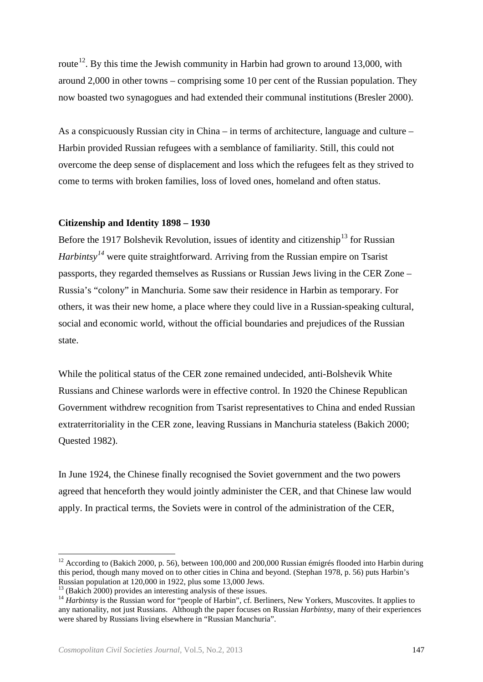route<sup>[12](#page-4-0)</sup>. By this time the Jewish community in Harbin had grown to around 13,000, with around 2,000 in other towns – comprising some 10 per cent of the Russian population. They now boasted two synagogues and had extended their communal institutions (Bresler 2000).

As a conspicuously Russian city in China – in terms of architecture, language and culture – Harbin provided Russian refugees with a semblance of familiarity. Still, this could not overcome the deep sense of displacement and loss which the refugees felt as they strived to come to terms with broken families, loss of loved ones, homeland and often status.

#### **Citizenship and Identity 1898 – 1930**

Before the 1917 Bolshevik Revolution, issues of identity and citizenship<sup>[13](#page-4-1)</sup> for Russian *Harbintsy[14](#page-4-2)* were quite straightforward. Arriving from the Russian empire on Tsarist passports, they regarded themselves as Russians or Russian Jews living in the CER Zone – Russia's "colony" in Manchuria. Some saw their residence in Harbin as temporary. For others, it was their new home, a place where they could live in a Russian-speaking cultural, social and economic world, without the official boundaries and prejudices of the Russian state.

While the political status of the CER zone remained undecided, anti-Bolshevik White Russians and Chinese warlords were in effective control. In 1920 the Chinese Republican Government withdrew recognition from Tsarist representatives to China and ended Russian extraterritoriality in the CER zone, leaving Russians in Manchuria stateless (Bakich 2000; Quested 1982).

In June 1924, the Chinese finally recognised the Soviet government and the two powers agreed that henceforth they would jointly administer the CER, and that Chinese law would apply. In practical terms, the Soviets were in control of the administration of the CER,

 $\overline{\phantom{a}}$ 

<span id="page-4-0"></span> $12$  According to (Bakich 2000, p. 56), between 100,000 and 200,000 Russian émigrés flooded into Harbin during this period, though many moved on to other cities in China and beyond. (Stephan 1978, p. 56) puts Harbin's Russian population at 120.000 in 1922, plus some 13.000 Jews.

<span id="page-4-2"></span><span id="page-4-1"></span> $^{13}$  (Bakich 2000) provides an interesting analysis of these issues.<br> $^{14}$  Harbintsy is the Russian word for "people of Harbin", cf. Berliners, New Yorkers, Muscovites. It applies to any nationality, not just Russians. Although the paper focuses on Russian *Harbintsy*, many of their experiences were shared by Russians living elsewhere in "Russian Manchuria".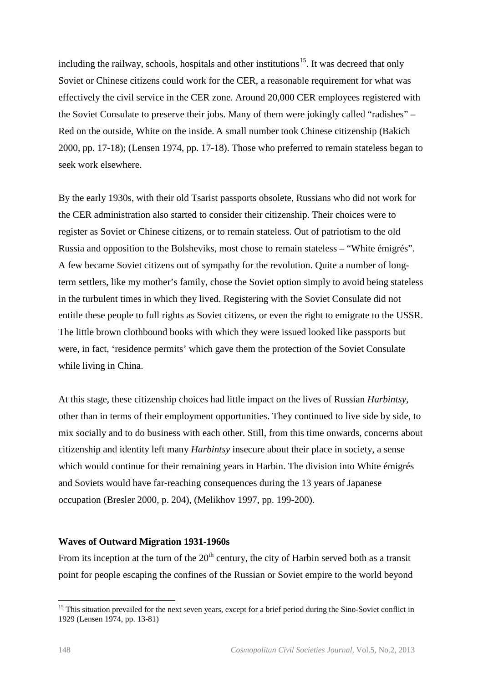including the railway, schools, hospitals and other institutions<sup>15</sup>. It was decreed that only Soviet or Chinese citizens could work for the CER, a reasonable requirement for what was effectively the civil service in the CER zone. Around 20,000 CER employees registered with the Soviet Consulate to preserve their jobs. Many of them were jokingly called "radishes" – Red on the outside, White on the inside. A small number took Chinese citizenship (Bakich 2000, pp. 17-18); (Lensen 1974, pp. 17-18). Those who preferred to remain stateless began to seek work elsewhere.

By the early 1930s, with their old Tsarist passports obsolete, Russians who did not work for the CER administration also started to consider their citizenship. Their choices were to register as Soviet or Chinese citizens, or to remain stateless. Out of patriotism to the old Russia and opposition to the Bolsheviks, most chose to remain stateless – "White émigrés". A few became Soviet citizens out of sympathy for the revolution. Quite a number of longterm settlers, like my mother's family, chose the Soviet option simply to avoid being stateless in the turbulent times in which they lived. Registering with the Soviet Consulate did not entitle these people to full rights as Soviet citizens, or even the right to emigrate to the USSR. The little brown clothbound books with which they were issued looked like passports but were, in fact, 'residence permits' which gave them the protection of the Soviet Consulate while living in China.

At this stage, these citizenship choices had little impact on the lives of Russian *Harbintsy*, other than in terms of their employment opportunities. They continued to live side by side, to mix socially and to do business with each other. Still, from this time onwards, concerns about citizenship and identity left many *Harbintsy* insecure about their place in society, a sense which would continue for their remaining years in Harbin. The division into White émigrés and Soviets would have far-reaching consequences during the 13 years of Japanese occupation (Bresler 2000, p. 204), (Melikhov 1997, pp. 199-200).

### **Waves of Outward Migration 1931-1960s**

From its inception at the turn of the  $20<sup>th</sup>$  century, the city of Harbin served both as a transit point for people escaping the confines of the Russian or Soviet empire to the world beyond

<span id="page-5-0"></span><sup>&</sup>lt;sup>15</sup> This situation prevailed for the next seven years, except for a brief period during the Sino-Soviet conflict in 1929 (Lensen 1974, pp. 13-81)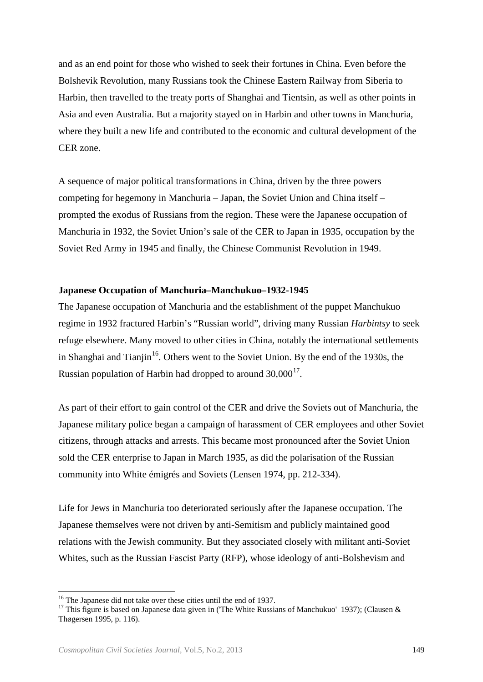and as an end point for those who wished to seek their fortunes in China. Even before the Bolshevik Revolution, many Russians took the Chinese Eastern Railway from Siberia to Harbin, then travelled to the treaty ports of Shanghai and Tientsin, as well as other points in Asia and even Australia. But a majority stayed on in Harbin and other towns in Manchuria, where they built a new life and contributed to the economic and cultural development of the CER zone.

A sequence of major political transformations in China, driven by the three powers competing for hegemony in Manchuria – Japan, the Soviet Union and China itself – prompted the exodus of Russians from the region. These were the Japanese occupation of Manchuria in 1932, the Soviet Union's sale of the CER to Japan in 1935, occupation by the Soviet Red Army in 1945 and finally, the Chinese Communist Revolution in 1949.

#### **Japanese Occupation of Manchuria–Manchukuo–1932-1945**

The Japanese occupation of Manchuria and the establishment of the puppet Manchukuo regime in 1932 fractured Harbin's "Russian world", driving many Russian *Harbintsy* to seek refuge elsewhere. Many moved to other cities in China, notably the international settlements in Shanghai and Tianjin<sup>16</sup>. Others went to the Soviet Union. By the end of the 1930s, the Russian population of Harbin had dropped to around  $30,000^{17}$ .

As part of their effort to gain control of the CER and drive the Soviets out of Manchuria, the Japanese military police began a campaign of harassment of CER employees and other Soviet citizens, through attacks and arrests. This became most pronounced after the Soviet Union sold the CER enterprise to Japan in March 1935, as did the polarisation of the Russian community into White émigrés and Soviets (Lensen 1974, pp. 212-334).

Life for Jews in Manchuria too deteriorated seriously after the Japanese occupation. The Japanese themselves were not driven by anti-Semitism and publicly maintained good relations with the Jewish community. But they associated closely with militant anti-Soviet Whites, such as the Russian Fascist Party (RFP), whose ideology of anti-Bolshevism and

<sup>&</sup>lt;sup>16</sup> The Japanese did not take over these cities until the end of 1937.

<span id="page-6-1"></span><span id="page-6-0"></span><sup>&</sup>lt;sup>17</sup> This figure is based on Japanese data given in ('The White Russians of Manchukuo' 1937); (Clausen & Thøgersen 1995, p. 116).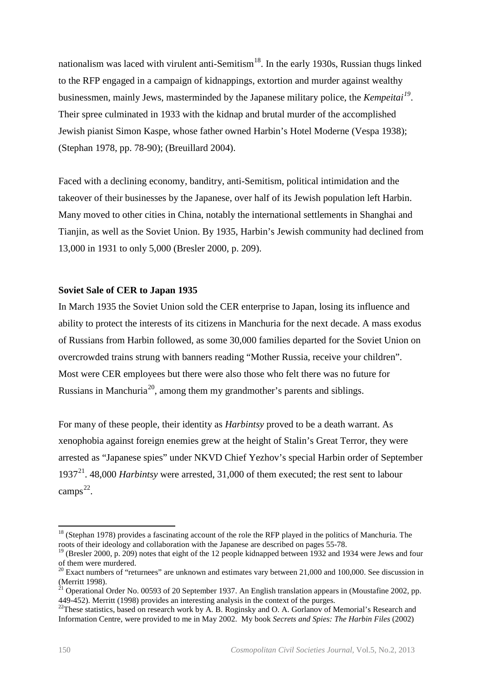nationalism was laced with virulent anti-Semitism<sup>18</sup>. In the early 1930s, Russian thugs linked to the RFP engaged in a campaign of kidnappings, extortion and murder against wealthy businessmen, mainly Jews, masterminded by the Japanese military police, the *Kempeitai[19](#page-7-1)*. Their spree culminated in 1933 with the kidnap and brutal murder of the accomplished Jewish pianist Simon Kaspe, whose father owned Harbin's Hotel Moderne (Vespa 1938); (Stephan 1978, pp. 78-90); (Breuillard 2004).

Faced with a declining economy, banditry, anti-Semitism, political intimidation and the takeover of their businesses by the Japanese, over half of its Jewish population left Harbin. Many moved to other cities in China, notably the international settlements in Shanghai and Tianjin, as well as the Soviet Union. By 1935, Harbin's Jewish community had declined from 13,000 in 1931 to only 5,000 (Bresler 2000, p. 209).

#### **Soviet Sale of CER to Japan 1935**

In March 1935 the Soviet Union sold the CER enterprise to Japan, losing its influence and ability to protect the interests of its citizens in Manchuria for the next decade. A mass exodus of Russians from Harbin followed, as some 30,000 families departed for the Soviet Union on overcrowded trains strung with banners reading "Mother Russia, receive your children". Most were CER employees but there were also those who felt there was no future for Russians in Manchuria<sup>20</sup>, among them my grandmother's parents and siblings.

For many of these people, their identity as *Harbintsy* proved to be a death warrant. As xenophobia against foreign enemies grew at the height of Stalin's Great Terror, they were arrested as "Japanese spies" under NKVD Chief Yezhov's special Harbin order of September 1937[21.](#page-7-3) 48,000 *Harbintsy* were arrested, 31,000 of them executed; the rest sent to labour camps [22](#page-7-4).

<span id="page-7-0"></span><sup>&</sup>lt;sup>18</sup> (Stephan 1978) provides a fascinating account of the role the RFP played in the politics of Manchuria. The roots of their ideology and collaboration with the Japanese are described on pages 55-78.

<span id="page-7-1"></span><sup>&</sup>lt;sup>19</sup> (Bresler 2000, p. 209) notes that eight of the 12 people kidnapped between 1932 and 1934 were Jews and four of them were murdered.

<span id="page-7-2"></span><sup>&</sup>lt;sup>20</sup> Exact numbers of "returnees" are unknown and estimates vary between 21,000 and 100,000. See discussion in (Merritt 1998).

<span id="page-7-3"></span><sup>(</sup>Merritt 1998). 21 Operational Order No. 00593 of 20 September 1937. An English translation appears in (Moustafine 2002, pp. 449-452). Merritt (1998) provides an interesting analysis in the context of the purges.

<span id="page-7-4"></span><sup>&</sup>lt;sup>22</sup>These statistics, based on research work by A. B. Roginsky and O. A. Gorlanov of Memorial's Research and Information Centre, were provided to me in May 2002. My book *Secrets and Spies: The Harbin Files* (2002)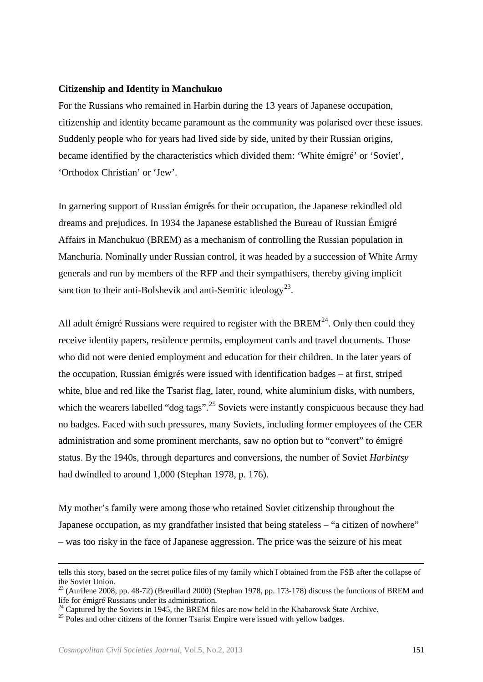#### **Citizenship and Identity in Manchukuo**

For the Russians who remained in Harbin during the 13 years of Japanese occupation, citizenship and identity became paramount as the community was polarised over these issues. Suddenly people who for years had lived side by side, united by their Russian origins, became identified by the characteristics which divided them: 'White émigré' or 'Soviet', 'Orthodox Christian' or 'Jew'.

In garnering support of Russian émigrés for their occupation, the Japanese rekindled old dreams and prejudices. In 1934 the Japanese established the Bureau of Russian Émigré Affairs in Manchukuo (BREM) as a mechanism of controlling the Russian population in Manchuria. Nominally under Russian control, it was headed by a succession of White Army generals and run by members of the RFP and their sympathisers, thereby giving implicit sanction to their anti-Bolshevik and anti-Semitic ideology<sup>23</sup>.

All adult émigré Russians were required to register with the BREM<sup>24</sup>. Only then could they receive identity papers, residence permits, employment cards and travel documents. Those who did not were denied employment and education for their children. In the later years of the occupation, Russian émigrés were issued with identification badges – at first, striped white, blue and red like the Tsarist flag, later, round, white aluminium disks, with numbers, which the wearers labelled "dog tags".<sup>[25](#page-8-2)</sup> Soviets were instantly conspicuous because they had no badges. Faced with such pressures, many Soviets, including former employees of the CER administration and some prominent merchants, saw no option but to "convert" to émigré status. By the 1940s, through departures and conversions, the number of Soviet *Harbintsy* had dwindled to around 1,000 (Stephan 1978, p. 176).

My mother's family were among those who retained Soviet citizenship throughout the Japanese occupation, as my grandfather insisted that being stateless – "a citizen of nowhere" – was too risky in the face of Japanese aggression. The price was the seizure of his meat

 $\overline{\phantom{a}}$ 

tells this story, based on the secret police files of my family which I obtained from the FSB after the collapse of the Soviet Union.

<span id="page-8-0"></span><sup>&</sup>lt;sup>23</sup> (Aurilene 2008, pp. 48-72) (Breuillard 2000) (Stephan 1978, pp. 173-178) discuss the functions of BREM and life for émigré Russians under its administration.

<span id="page-8-1"></span><sup>&</sup>lt;sup>24</sup> Captured by the Soviets in 1945, the BREM files are now held in the Khabarovsk State Archive.  $25$  Poles and other citizens of the former Tsarist Empire were issued with yellow badges.

<span id="page-8-2"></span>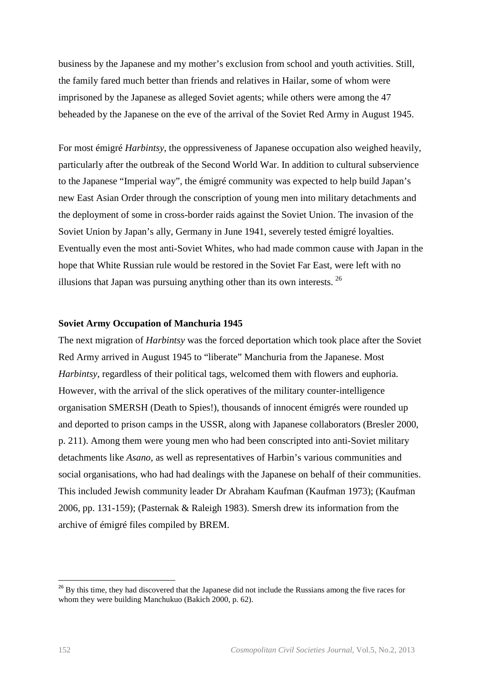business by the Japanese and my mother's exclusion from school and youth activities. Still, the family fared much better than friends and relatives in Hailar, some of whom were imprisoned by the Japanese as alleged Soviet agents; while others were among the 47 beheaded by the Japanese on the eve of the arrival of the Soviet Red Army in August 1945.

For most émigré *Harbintsy*, the oppressiveness of Japanese occupation also weighed heavily, particularly after the outbreak of the Second World War. In addition to cultural subservience to the Japanese "Imperial way", the émigré community was expected to help build Japan's new East Asian Order through the conscription of young men into military detachments and the deployment of some in cross-border raids against the Soviet Union. The invasion of the Soviet Union by Japan's ally, Germany in June 1941, severely tested émigré loyalties. Eventually even the most anti-Soviet Whites, who had made common cause with Japan in the hope that White Russian rule would be restored in the Soviet Far East, were left with no illusions that Japan was pursuing anything other than its own interests. [26](#page-9-0)

#### **Soviet Army Occupation of Manchuria 1945**

The next migration of *Harbintsy* was the forced deportation which took place after the Soviet Red Army arrived in August 1945 to "liberate" Manchuria from the Japanese. Most *Harbintsy*, regardless of their political tags, welcomed them with flowers and euphoria. However, with the arrival of the slick operatives of the military counter-intelligence organisation SMERSH (Death to Spies!), thousands of innocent émigrés were rounded up and deported to prison camps in the USSR, along with Japanese collaborators (Bresler 2000, p. 211). Among them were young men who had been conscripted into anti-Soviet military detachments like *Asano,* as well as representatives of Harbin's various communities and social organisations, who had had dealings with the Japanese on behalf of their communities. This included Jewish community leader Dr Abraham Kaufman (Kaufman 1973); (Kaufman 2006, pp. 131-159); (Pasternak & Raleigh 1983). Smersh drew its information from the archive of émigré files compiled by BREM.

<span id="page-9-0"></span><sup>&</sup>lt;sup>26</sup> By this time, they had discovered that the Japanese did not include the Russians among the five races for whom they were building Manchukuo (Bakich 2000, p. 62).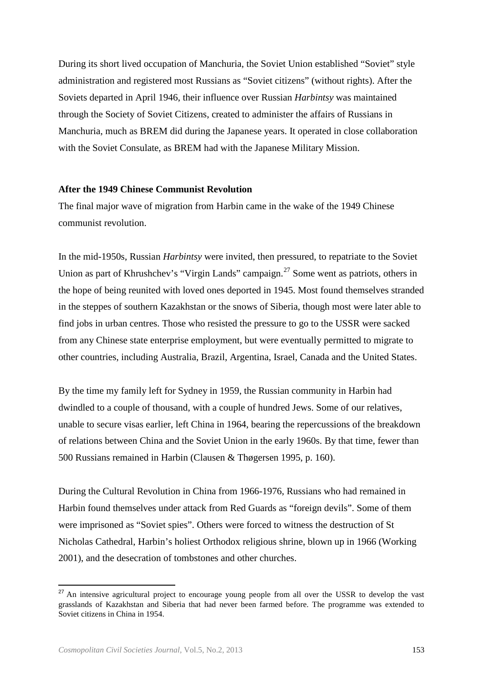During its short lived occupation of Manchuria, the Soviet Union established "Soviet" style administration and registered most Russians as "Soviet citizens" (without rights). After the Soviets departed in April 1946, their influence over Russian *Harbintsy* was maintained through the Society of Soviet Citizens, created to administer the affairs of Russians in Manchuria, much as BREM did during the Japanese years. It operated in close collaboration with the Soviet Consulate, as BREM had with the Japanese Military Mission.

#### **After the 1949 Chinese Communist Revolution**

The final major wave of migration from Harbin came in the wake of the 1949 Chinese communist revolution.

In the mid-1950s, Russian *Harbintsy* were invited, then pressured, to repatriate to the Soviet Union as part of Khrushchev's "Virgin Lands" campaign.<sup>[27](#page-10-0)</sup> Some went as patriots, others in the hope of being reunited with loved ones deported in 1945. Most found themselves stranded in the steppes of southern Kazakhstan or the snows of Siberia, though most were later able to find jobs in urban centres. Those who resisted the pressure to go to the USSR were sacked from any Chinese state enterprise employment, but were eventually permitted to migrate to other countries, including Australia, Brazil, Argentina, Israel, Canada and the United States.

By the time my family left for Sydney in 1959, the Russian community in Harbin had dwindled to a couple of thousand, with a couple of hundred Jews. Some of our relatives, unable to secure visas earlier, left China in 1964, bearing the repercussions of the breakdown of relations between China and the Soviet Union in the early 1960s. By that time, fewer than 500 Russians remained in Harbin (Clausen & Thøgersen 1995, p. 160).

During the Cultural Revolution in China from 1966-1976, Russians who had remained in Harbin found themselves under attack from Red Guards as "foreign devils". Some of them were imprisoned as "Soviet spies". Others were forced to witness the destruction of St Nicholas Cathedral, Harbin's holiest Orthodox religious shrine, blown up in 1966 (Working 2001), and the desecration of tombstones and other churches.

 $\overline{\phantom{a}}$ 

<span id="page-10-0"></span><sup>&</sup>lt;sup>27</sup> An intensive agricultural project to encourage young people from all over the USSR to develop the vast grasslands of Kazakhstan and Siberia that had never been farmed before. The programme was extended to Soviet citizens in China in 1954.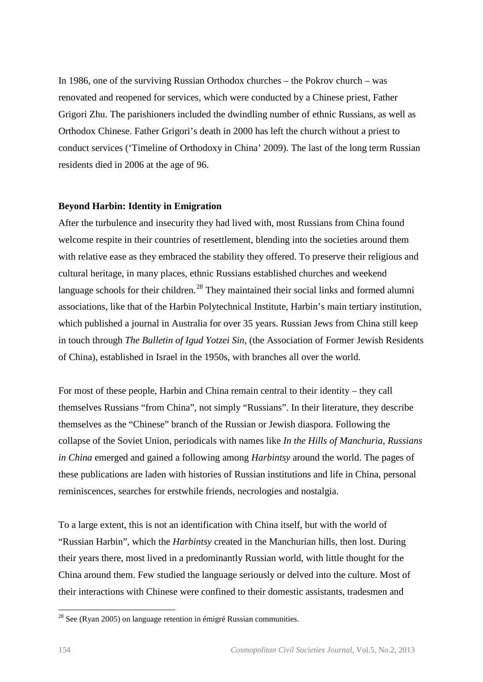In 1986, one of the surviving Russian Orthodox churches – the Pokrov church – was renovated and reopened for services, which were conducted by a Chinese priest, Father Grigori Zhu. The parishioners included the dwindling number of ethnic Russians, as well as Orthodox Chinese. Father Grigori's death in 2000 has left the church without a priest to conduct services ('Timeline of Orthodoxy in China' 2009). The last of the long term Russian residents died in 2006 at the age of 96.

#### **Beyond Harbin: Identity in Emigration**

After the turbulence and insecurity they had lived with, most Russians from China found welcome respite in their countries of resettlement, blending into the societies around them with relative ease as they embraced the stability they offered. To preserve their religious and cultural heritage, in many places, ethnic Russians established churches and weekend language schools for their children.<sup>[28](#page-11-0)</sup> They maintained their social links and formed alumni associations, like that of the Harbin Polytechnical Institute, Harbin's main tertiary institution, which published a journal in Australia for over 35 years. Russian Jews from China still keep in touch through *The Bulletin of Igud Yotzei Sin*, (the Association of Former Jewish Residents of China), established in Israel in the 1950s, with branches all over the world.

For most of these people, Harbin and China remain central to their identity – they call themselves Russians "from China", not simply "Russians". In their literature, they describe themselves as the "Chinese" branch of the Russian or Jewish diaspora. Following the collapse of the Soviet Union, periodicals with names like *In the Hills of Manchuria*, *Russians in China* emerged and gained a following among *Harbintsy* around the world. The pages of these publications are laden with histories of Russian institutions and life in China, personal reminiscences, searches for erstwhile friends, necrologies and nostalgia.

To a large extent, this is not an identification with China itself, but with the world of "Russian Harbin", which the *Harbintsy* created in the Manchurian hills, then lost. During their years there, most lived in a predominantly Russian world, with little thought for the China around them. Few studied the language seriously or delved into the culture. Most of their interactions with Chinese were confined to their domestic assistants, tradesmen and

 $\overline{a}$ 

<span id="page-11-0"></span> $2^8$  See (Ryan 2005) on language retention in émigré Russian communities.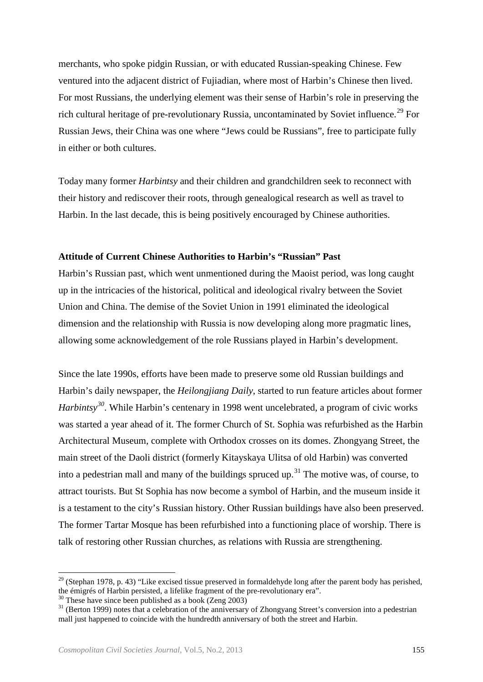merchants, who spoke pidgin Russian, or with educated Russian-speaking Chinese. Few ventured into the adjacent district of Fujiadian, where most of Harbin's Chinese then lived. For most Russians, the underlying element was their sense of Harbin's role in preserving the rich cultural heritage of pre-revolutionary Russia, uncontaminated by Soviet influence.<sup>[29](#page-12-0)</sup> For Russian Jews, their China was one where "Jews could be Russians", free to participate fully in either or both cultures.

Today many former *Harbintsy* and their children and grandchildren seek to reconnect with their history and rediscover their roots, through genealogical research as well as travel to Harbin. In the last decade, this is being positively encouraged by Chinese authorities.

#### **Attitude of Current Chinese Authorities to Harbin's "Russian" Past**

Harbin's Russian past, which went unmentioned during the Maoist period, was long caught up in the intricacies of the historical, political and ideological rivalry between the Soviet Union and China. The demise of the Soviet Union in 1991 eliminated the ideological dimension and the relationship with Russia is now developing along more pragmatic lines, allowing some acknowledgement of the role Russians played in Harbin's development.

Since the late 1990s, efforts have been made to preserve some old Russian buildings and Harbin's daily newspaper, the *Heilongjiang Daily*, started to run feature articles about former *Harbintsy*<sup>[30](#page-12-1)</sup>. While Harbin's centenary in 1998 went uncelebrated, a program of civic works was started a year ahead of it. The former Church of St. Sophia was refurbished as the Harbin Architectural Museum, complete with Orthodox crosses on its domes. Zhongyang Street, the main street of the Daoli district (formerly Kitayskaya Ulitsa of old Harbin) was converted into a pedestrian mall and many of the buildings spruced up.<sup>[31](#page-12-2)</sup> The motive was, of course, to attract tourists. But St Sophia has now become a symbol of Harbin, and the museum inside it is a testament to the city's Russian history. Other Russian buildings have also been preserved. The former Tartar Mosque has been refurbished into a functioning place of worship. There is talk of restoring other Russian churches, as relations with Russia are strengthening.

<span id="page-12-0"></span><sup>&</sup>lt;sup>29</sup> (Stephan 1978, p. 43) "Like excised tissue preserved in formaldehyde long after the parent body has perished, the émigrés of Harbin persisted, a lifelike fragment of the pre-revolutionary era".<br><sup>30</sup> These have since been published as a book (Zeng 2003)<br><sup>31</sup> (Berton 1999) notes that a celebration of the anniversary of Zhongyang St

<span id="page-12-1"></span>

<span id="page-12-2"></span>mall just happened to coincide with the hundredth anniversary of both the street and Harbin.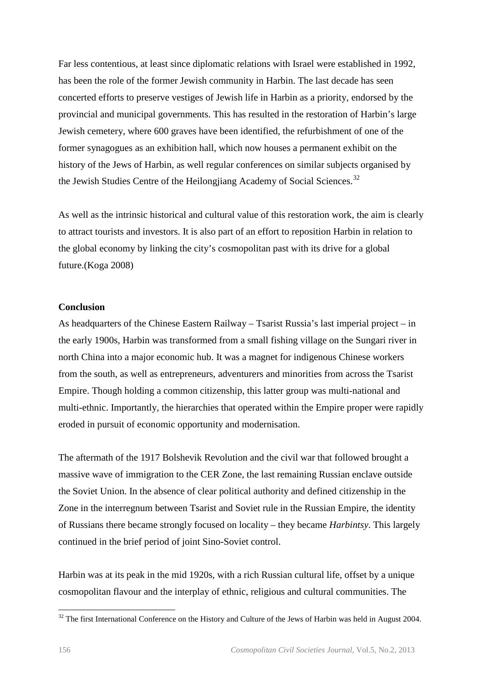Far less contentious, at least since diplomatic relations with Israel were established in 1992, has been the role of the former Jewish community in Harbin. The last decade has seen concerted efforts to preserve vestiges of Jewish life in Harbin as a priority, endorsed by the provincial and municipal governments. This has resulted in the restoration of Harbin's large Jewish cemetery, where 600 graves have been identified, the refurbishment of one of the former synagogues as an exhibition hall, which now houses a permanent exhibit on the history of the Jews of Harbin, as well regular conferences on similar subjects organised by the Jewish Studies Centre of the Heilongjiang Academy of Social Sciences.<sup>[32](#page-13-0)</sup>

As well as the intrinsic historical and cultural value of this restoration work, the aim is clearly to attract tourists and investors. It is also part of an effort to reposition Harbin in relation to the global economy by linking the city's cosmopolitan past with its drive for a global future.(Koga 2008)

#### **Conclusion**

As headquarters of the Chinese Eastern Railway – Tsarist Russia's last imperial project – in the early 1900s, Harbin was transformed from a small fishing village on the Sungari river in north China into a major economic hub. It was a magnet for indigenous Chinese workers from the south, as well as entrepreneurs, adventurers and minorities from across the Tsarist Empire. Though holding a common citizenship, this latter group was multi-national and multi-ethnic. Importantly, the hierarchies that operated within the Empire proper were rapidly eroded in pursuit of economic opportunity and modernisation.

The aftermath of the 1917 Bolshevik Revolution and the civil war that followed brought a massive wave of immigration to the CER Zone, the last remaining Russian enclave outside the Soviet Union. In the absence of clear political authority and defined citizenship in the Zone in the interregnum between Tsarist and Soviet rule in the Russian Empire, the identity of Russians there became strongly focused on locality – they became *Harbintsy*. This largely continued in the brief period of joint Sino-Soviet control.

Harbin was at its peak in the mid 1920s, with a rich Russian cultural life, offset by a unique cosmopolitan flavour and the interplay of ethnic, religious and cultural communities. The

 $\overline{a}$ 

<span id="page-13-0"></span> $32$  The first International Conference on the History and Culture of the Jews of Harbin was held in August 2004.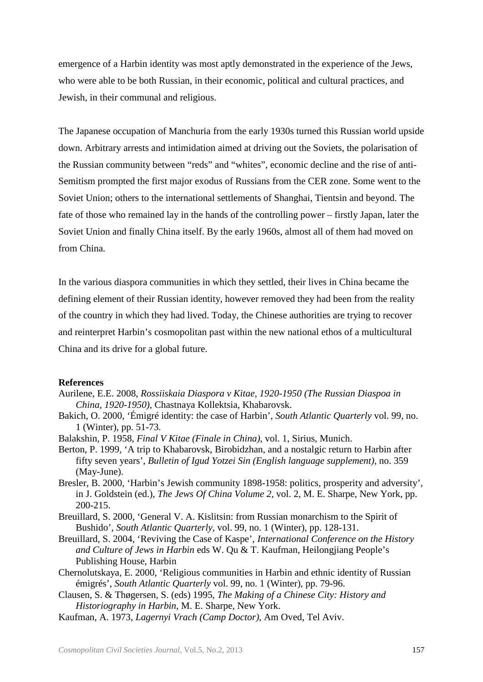emergence of a Harbin identity was most aptly demonstrated in the experience of the Jews, who were able to be both Russian, in their economic, political and cultural practices, and Jewish, in their communal and religious.

The Japanese occupation of Manchuria from the early 1930s turned this Russian world upside down. Arbitrary arrests and intimidation aimed at driving out the Soviets, the polarisation of the Russian community between "reds" and "whites", economic decline and the rise of anti-Semitism prompted the first major exodus of Russians from the CER zone. Some went to the Soviet Union; others to the international settlements of Shanghai, Tientsin and beyond. The fate of those who remained lay in the hands of the controlling power – firstly Japan, later the Soviet Union and finally China itself. By the early 1960s, almost all of them had moved on from China.

In the various diaspora communities in which they settled, their lives in China became the defining element of their Russian identity, however removed they had been from the reality of the country in which they had lived. Today, the Chinese authorities are trying to recover and reinterpret Harbin's cosmopolitan past within the new national ethos of a multicultural China and its drive for a global future.

#### **References**

- Aurilene, E.E. 2008, *Rossiiskaia Diaspora v Kitae, 1920-1950 (The Russian Diaspoa in China, 1920-1950)*, Chastnaya Kollektsia, Khabarovsk.
- Bakich, O. 2000, 'Émigré identity: the case of Harbin', *South Atlantic Quarterly* vol. 99, no. 1 (Winter), pp. 51-73.
- Balakshin, P. 1958, *Final V Kitae (Finale in China)*, vol. 1, Sirius, Munich.
- Berton, P. 1999, 'A trip to Khabarovsk, Birobidzhan, and a nostalgic return to Harbin after fifty seven years', *Bulletin of Igud Yotzei Sin (English language supplement)*, no. 359 (May-June).
- Bresler, B. 2000, 'Harbin's Jewish community 1898-1958: politics, prosperity and adversity', in J. Goldstein (ed.), *The Jews Of China Volume 2*, vol. 2, M. E. Sharpe, New York, pp. 200-215.
- Breuillard, S. 2000, 'General V. A. Kislitsin: from Russian monarchism to the Spirit of Bushido', *South Atlantic Quarterly*, vol. 99, no. 1 (Winter), pp. 128-131.
- Breuillard, S. 2004, 'Reviving the Case of Kaspe', *International Conference on the History and Culture of Jews in Harbin* eds W. Qu & T. Kaufman, Heilongjiang People's Publishing House, Harbin
- Chernolutskaya, E. 2000, 'Religious communities in Harbin and ethnic identity of Russian émigrés', *South Atlantic Quarterly* vol. 99, no. 1 (Winter), pp. 79-96.
- Clausen, S. & Thøgersen, S. (eds) 1995, *The Making of a Chinese City: History and Historiography in Harbin*, M. E. Sharpe, New York.
- Kaufman, A. 1973, *Lagernyi Vrach (Camp Doctor)*, Am Oved, Tel Aviv.